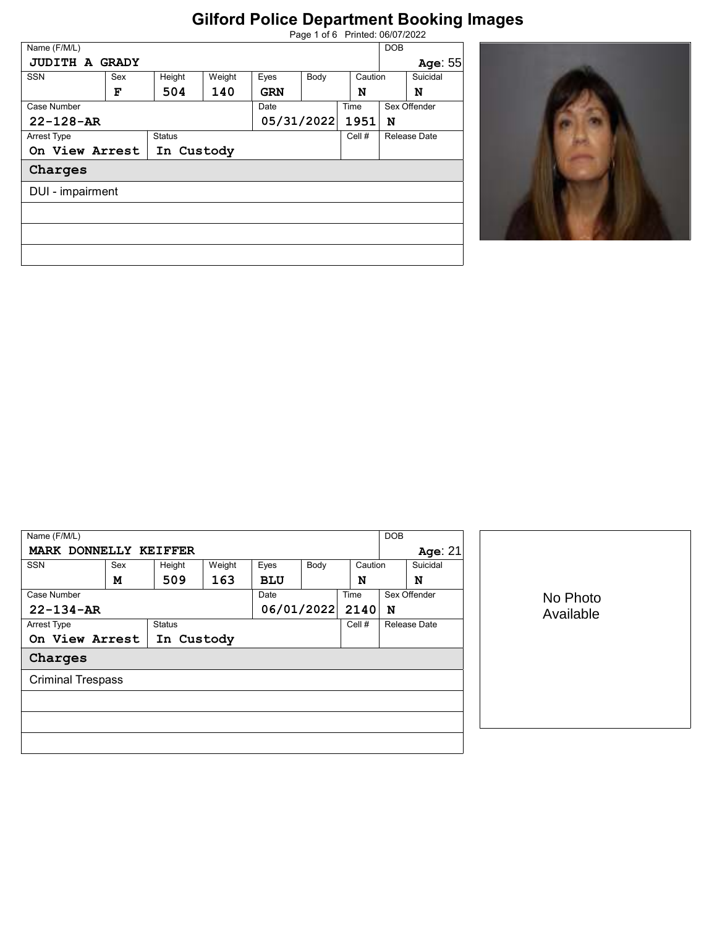| Page 1 of 6 Printed: 06/07/2022 |  |  |
|---------------------------------|--|--|
|                                 |  |  |

| Name (F/M/L)          |                               |               |        |            |      |         | <b>DOB</b> |              |
|-----------------------|-------------------------------|---------------|--------|------------|------|---------|------------|--------------|
| <b>JUDITH A GRADY</b> |                               |               |        |            |      |         |            | Age: 55      |
| <b>SSN</b>            | Sex                           | Height        | Weight | Eyes       | Body | Caution |            | Suicidal     |
|                       | F                             | 504           | 140    | <b>GRN</b> |      | N       |            | N            |
| Case Number           |                               |               |        | Date       |      | Time    |            | Sex Offender |
|                       | 05/31/2022<br>$22 - 128 - AR$ |               | 1951   | N          |      |         |            |              |
| <b>Arrest Type</b>    |                               | <b>Status</b> |        |            |      | Cell #  |            | Release Date |
| On View Arrest        |                               | In Custody    |        |            |      |         |            |              |
| Charges               |                               |               |        |            |      |         |            |              |
| DUI - impairment      |                               |               |        |            |      |         |            |              |
|                       |                               |               |        |            |      |         |            |              |
|                       |                               |               |        |            |      |         |            |              |
|                       |                               |               |        |            |      |         |            |              |
|                       |                               |               |        |            |      |         |            |              |



| Name (F/M/L)             |     |               |        |            |      |         | <b>DOB</b> |              |           |
|--------------------------|-----|---------------|--------|------------|------|---------|------------|--------------|-----------|
| MARK DONNELLY KEIFFER    |     |               |        |            |      |         | Age: $21$  |              |           |
| <b>SSN</b>               | Sex | Height        | Weight | Eyes       | Body | Caution |            | Suicidal     |           |
|                          | M   | 509           | 163    | <b>BLU</b> |      | N       |            | N            |           |
| Case Number              |     |               |        | Date       |      | Time    |            | Sex Offender | No Photo  |
| $22 - 134 - AR$          |     |               |        | 06/01/2022 |      | 2140    | N          |              | Available |
| Arrest Type              |     | <b>Status</b> |        |            |      | Cell #  |            | Release Date |           |
| On View Arrest           |     | In Custody    |        |            |      |         |            |              |           |
| Charges                  |     |               |        |            |      |         |            |              |           |
| <b>Criminal Trespass</b> |     |               |        |            |      |         |            |              |           |
|                          |     |               |        |            |      |         |            |              |           |
|                          |     |               |        |            |      |         |            |              |           |
|                          |     |               |        |            |      |         |            |              |           |
|                          |     |               |        |            |      |         |            |              |           |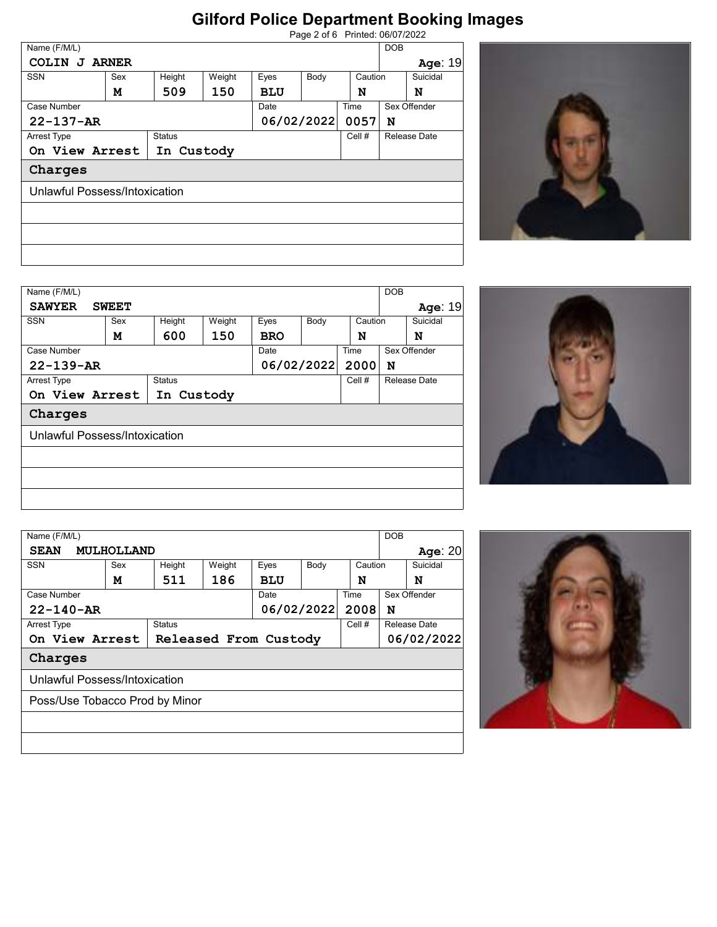|                               |              |               |        |            |      | Page 2 of 6 Printed: 06/07/2022 |              |          |
|-------------------------------|--------------|---------------|--------|------------|------|---------------------------------|--------------|----------|
| Name (F/M/L)                  |              |               |        |            |      |                                 | <b>DOB</b>   |          |
| <b>COLIN</b><br>J             | <b>ARNER</b> |               |        |            |      |                                 |              | Age: 19  |
| <b>SSN</b>                    | Sex          | Height        | Weight | Eyes       | Body | Caution                         |              | Suicidal |
|                               | м            | 509           | 150    | <b>BLU</b> |      | N                               |              | N        |
| Case Number                   |              |               |        | Date       |      | Time                            | Sex Offender |          |
| $22 - 137 - AR$               |              |               |        | 06/02/2022 |      | 0057                            | N            |          |
| <b>Arrest Type</b>            |              | <b>Status</b> |        |            |      | Cell #                          | Release Date |          |
| On View Arrest                |              | In Custody    |        |            |      |                                 |              |          |
| Charges                       |              |               |        |            |      |                                 |              |          |
| Unlawful Possess/Intoxication |              |               |        |            |      |                                 |              |          |
|                               |              |               |        |            |      |                                 |              |          |
|                               |              |               |        |            |      |                                 |              |          |
|                               |              |               |        |            |      |                                 |              |          |



| Name (F/M/L)       |                               |               |        |            |            |         | <b>DOB</b> |              |
|--------------------|-------------------------------|---------------|--------|------------|------------|---------|------------|--------------|
| <b>SAWYER</b>      | <b>SWEET</b>                  |               |        |            |            |         |            | Age: 19      |
| <b>SSN</b>         | Sex                           | Height        | Weight | Eyes       | Body       | Caution |            | Suicidal     |
|                    | м                             | 600           | 150    | <b>BRO</b> |            | N       |            | N            |
| Case Number        |                               |               |        | Date       |            | Time    |            | Sex Offender |
| $22 - 139 - AR$    |                               |               |        |            | 06/02/2022 | 2000    | N          |              |
| <b>Arrest Type</b> |                               | <b>Status</b> |        |            |            | Cell #  |            | Release Date |
|                    | On View Arrest                | In Custody    |        |            |            |         |            |              |
| Charges            |                               |               |        |            |            |         |            |              |
|                    | Unlawful Possess/Intoxication |               |        |            |            |         |            |              |
|                    |                               |               |        |            |            |         |            |              |
|                    |                               |               |        |            |            |         |            |              |
|                    |                               |               |        |            |            |         |            |              |
|                    |                               |               |        |            |            |         |            |              |
|                    |                               |               |        |            |            |         |            |              |



| Name (F/M/L)                            |                                |        |        |            |      |            | <b>DOB</b>   |              |
|-----------------------------------------|--------------------------------|--------|--------|------------|------|------------|--------------|--------------|
| <b>SEAN</b>                             | MULHOLLAND                     |        |        |            |      |            |              | Age: $20$    |
| <b>SSN</b>                              | Sex                            | Height | Weight | Eyes       | Body | Caution    |              | Suicidal     |
|                                         | М                              | 511    | 186    | <b>BLU</b> |      | N          |              | N            |
| Case Number                             |                                |        |        | Date       |      | Time       |              | Sex Offender |
| 06/02/2022<br>$22 - 140 - AR$           |                                |        |        |            | 2008 | N          |              |              |
| <b>Status</b><br>Arrest Type            |                                |        |        | Cell #     |      |            | Release Date |              |
| On View Arrest<br>Released From Custody |                                |        |        |            |      | 06/02/2022 |              |              |
| Charges                                 |                                |        |        |            |      |            |              |              |
|                                         | Unlawful Possess/Intoxication  |        |        |            |      |            |              |              |
|                                         | Poss/Use Tobacco Prod by Minor |        |        |            |      |            |              |              |
|                                         |                                |        |        |            |      |            |              |              |
|                                         |                                |        |        |            |      |            |              |              |
|                                         |                                |        |        |            |      |            |              |              |

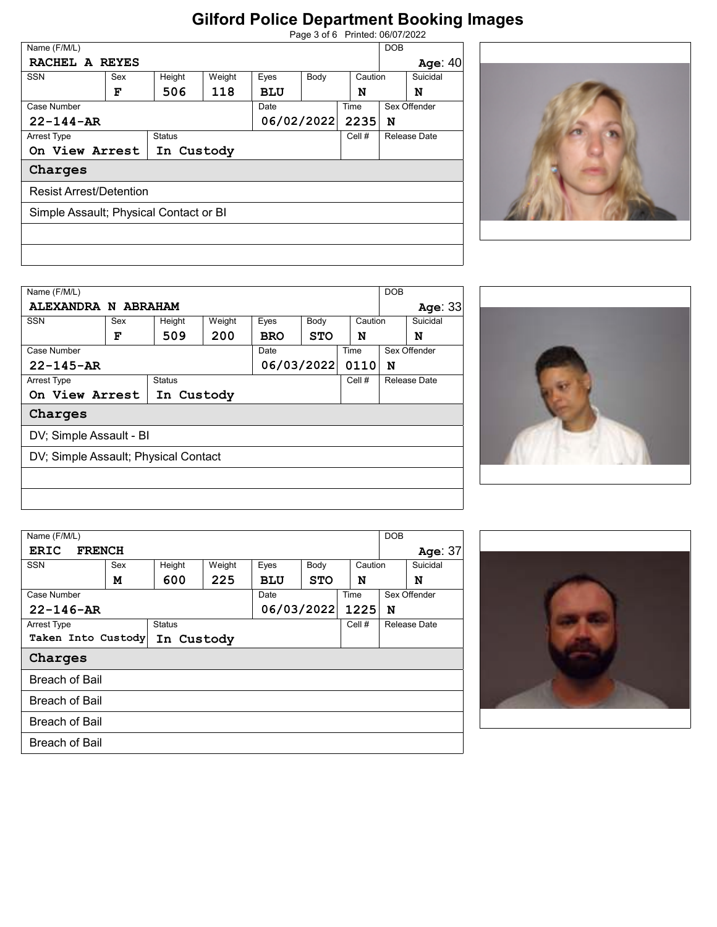| Page 3 of 6 Printed: 06/07/2022 |
|---------------------------------|
|                                 |

|                                               |      |         | <b>DOB</b>          |  |  |
|-----------------------------------------------|------|---------|---------------------|--|--|
| RACHEL A REYES                                |      |         | Age: 40             |  |  |
| <b>SSN</b><br>Weight<br>Sex<br>Height<br>Eyes | Body | Caution | Suicidal            |  |  |
| 118<br>506<br>F<br><b>BLU</b>                 |      | N       | N                   |  |  |
| Case Number<br>Date                           |      | Time    | Sex Offender        |  |  |
| 06/02/2022<br>$22 - 144 - AR$                 |      | 2235    | N                   |  |  |
| Arrest Type<br><b>Status</b>                  |      | Cell #  | <b>Release Date</b> |  |  |
| On View Arrest<br>In Custody                  |      |         |                     |  |  |
| Charges                                       |      |         |                     |  |  |
| <b>Resist Arrest/Detention</b>                |      |         |                     |  |  |
| Simple Assault; Physical Contact or BI        |      |         |                     |  |  |
|                                               |      |         |                     |  |  |
|                                               |      |         |                     |  |  |
|                                               |      |         |                     |  |  |



| Name (F/M/L)       |                                      |               |        |      |            |         | <b>DOB</b> |              |
|--------------------|--------------------------------------|---------------|--------|------|------------|---------|------------|--------------|
|                    | ALEXANDRA N ABRAHAM                  |               |        |      |            |         |            | Age: 33      |
| <b>SSN</b>         | Sex                                  | Height        | Weight | Eyes | Body       | Caution |            | Suicidal     |
|                    | F                                    | 509           | 200    | BRO  | <b>STO</b> | N       |            | N            |
| Case Number        |                                      |               |        | Date |            | Time    |            | Sex Offender |
|                    | $22 - 145 - AR$                      |               |        |      | 06/03/2022 | 0110    | N          |              |
| <b>Arrest Type</b> |                                      | <b>Status</b> |        |      |            | Cell #  |            | Release Date |
|                    | On View Arrest                       | In Custody    |        |      |            |         |            |              |
| Charges            |                                      |               |        |      |            |         |            |              |
|                    | DV; Simple Assault - BI              |               |        |      |            |         |            |              |
|                    | DV; Simple Assault; Physical Contact |               |        |      |            |         |            |              |
|                    |                                      |               |        |      |            |         |            |              |
|                    |                                      |               |        |      |            |         |            |              |



| Name (F/M/L)          |                    |               |        |            |            |         | <b>DOB</b>   |
|-----------------------|--------------------|---------------|--------|------------|------------|---------|--------------|
| <b>ERIC</b>           | <b>FRENCH</b>      |               |        |            |            |         | Age: 37      |
| <b>SSN</b>            | Sex                |               | Weight | Eyes       | Body       | Caution | Suicidal     |
|                       | м                  | 600           | 225    | <b>BLU</b> | <b>STO</b> | N       | N            |
| Case Number           |                    |               |        | Date       |            | Time    | Sex Offender |
| $22 - 146 - AR$       |                    |               |        |            | 06/03/2022 | 1225    | N            |
| <b>Arrest Type</b>    |                    | <b>Status</b> |        |            |            | Cell #  | Release Date |
|                       | Taken Into Custody | In Custody    |        |            |            |         |              |
| Charges               |                    |               |        |            |            |         |              |
| <b>Breach of Bail</b> |                    |               |        |            |            |         |              |
| <b>Breach of Bail</b> |                    |               |        |            |            |         |              |
| <b>Breach of Bail</b> |                    |               |        |            |            |         |              |
| <b>Breach of Bail</b> |                    |               |        |            |            |         |              |
|                       |                    |               |        |            |            |         |              |

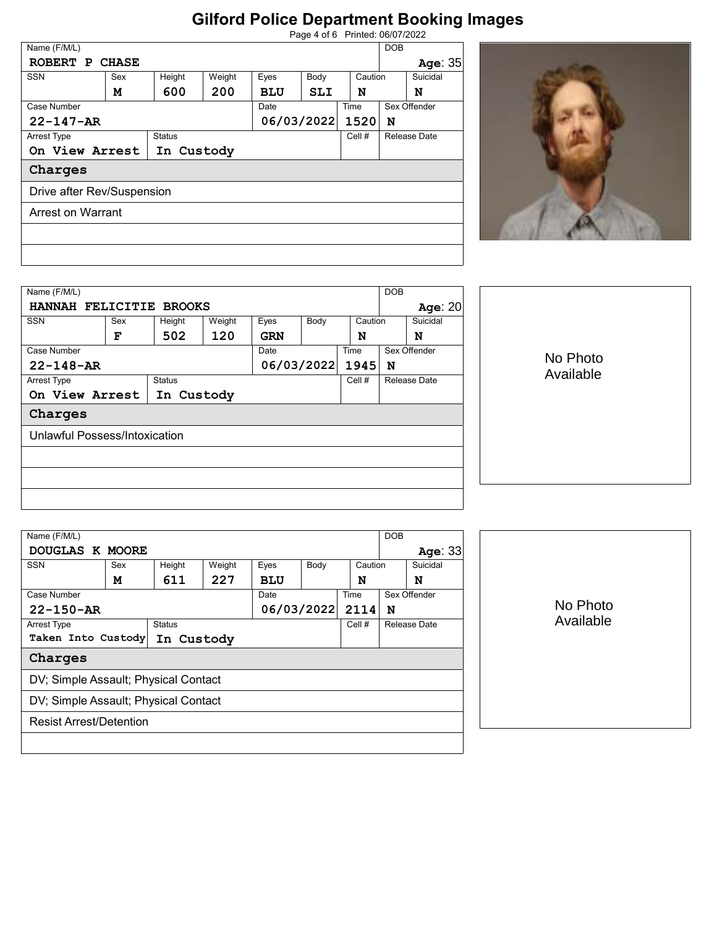| Page 4 of 6 Printed: 06/07/2022 |  |
|---------------------------------|--|
|                                 |  |

| Name (F/M/L)                 |     |        |        |            |            |              | <b>DOB</b>   |          |
|------------------------------|-----|--------|--------|------------|------------|--------------|--------------|----------|
| ROBERT P CHASE               |     |        |        |            |            |              |              | Age: 35  |
| <b>SSN</b>                   | Sex | Height | Weight | Eyes       | Body       | Caution      |              | Suicidal |
|                              | м   | 600    | 200    | <b>BLU</b> | <b>SLI</b> | N            |              | N        |
| Case Number                  |     |        | Date   |            | Time       |              | Sex Offender |          |
| $22 - 147 - AR$              |     |        |        | 06/03/2022 | 1520       | N            |              |          |
| <b>Status</b><br>Arrest Type |     |        | Cell # |            |            | Release Date |              |          |
| On View Arrest<br>In Custody |     |        |        |            |            |              |              |          |
| Charges                      |     |        |        |            |            |              |              |          |
| Drive after Rev/Suspension   |     |        |        |            |            |              |              |          |
| Arrest on Warrant            |     |        |        |            |            |              |              |          |
|                              |     |        |        |            |            |              |              |          |
|                              |     |        |        |            |            |              |              |          |



| Name (F/M/L)<br><b>DOB</b>   |                               |     |                  |            |              |              |                     |           |           |  |
|------------------------------|-------------------------------|-----|------------------|------------|--------------|--------------|---------------------|-----------|-----------|--|
| HANNAH FELICITIE BROOKS      |                               |     |                  |            |              |              |                     | Age: $20$ |           |  |
| <b>SSN</b>                   | Sex                           |     | Weight<br>Height |            | Eyes<br>Body |              | Suicidal<br>Caution |           |           |  |
|                              | F                             | 502 | 120              | <b>GRN</b> |              | N            |                     | N         |           |  |
| Case Number                  |                               |     | Time<br>Date     |            |              | Sex Offender |                     |           |           |  |
| $22 - 148 - AR$              |                               |     |                  | 06/03/2022 |              | 1945         | N                   |           | No Photo  |  |
| Arrest Type                  | <b>Status</b>                 |     |                  |            |              | Cell #       | Release Date        |           | Available |  |
| On View Arrest<br>In Custody |                               |     |                  |            |              |              |                     |           |           |  |
| Charges                      |                               |     |                  |            |              |              |                     |           |           |  |
|                              | Unlawful Possess/Intoxication |     |                  |            |              |              |                     |           |           |  |
|                              |                               |     |                  |            |              |              |                     |           |           |  |
|                              |                               |     |                  |            |              |              |                     |           |           |  |
|                              |                               |     |                  |            |              |              |                     |           |           |  |
|                              |                               |     |                  |            |              |              |                     |           |           |  |
|                              |                               |     |                  |            |              |              |                     |           |           |  |

| Name (F/M/L)                         |                                      |     |        |            |                 |      | <b>DOB</b>   |              |          |
|--------------------------------------|--------------------------------------|-----|--------|------------|-----------------|------|--------------|--------------|----------|
|                                      | DOUGLAS K MOORE                      |     |        |            |                 |      |              | Age: $33$    |          |
| <b>SSN</b>                           | Sex<br>Height                        |     | Weight | Eyes       | Caution<br>Body |      |              | Suicidal     |          |
|                                      | M                                    | 611 | 227    | <b>BLU</b> |                 | N    |              | N            |          |
| Case Number                          |                                      |     |        | Date       |                 | Time |              | Sex Offender |          |
| $22 - 150 - AR$                      |                                      |     |        | 06/03/2022 |                 | 2114 | N            |              | No Photo |
| Arrest Type<br><b>Status</b>         |                                      |     |        |            | Cell #          |      | Release Date | Available    |          |
| Taken Into Custody<br>In Custody     |                                      |     |        |            |                 |      |              |              |          |
| Charges                              |                                      |     |        |            |                 |      |              |              |          |
|                                      | DV; Simple Assault; Physical Contact |     |        |            |                 |      |              |              |          |
| DV; Simple Assault; Physical Contact |                                      |     |        |            |                 |      |              |              |          |
| <b>Resist Arrest/Detention</b>       |                                      |     |        |            |                 |      |              |              |          |
|                                      |                                      |     |        |            |                 |      |              |              |          |
|                                      |                                      |     |        |            |                 |      |              |              |          |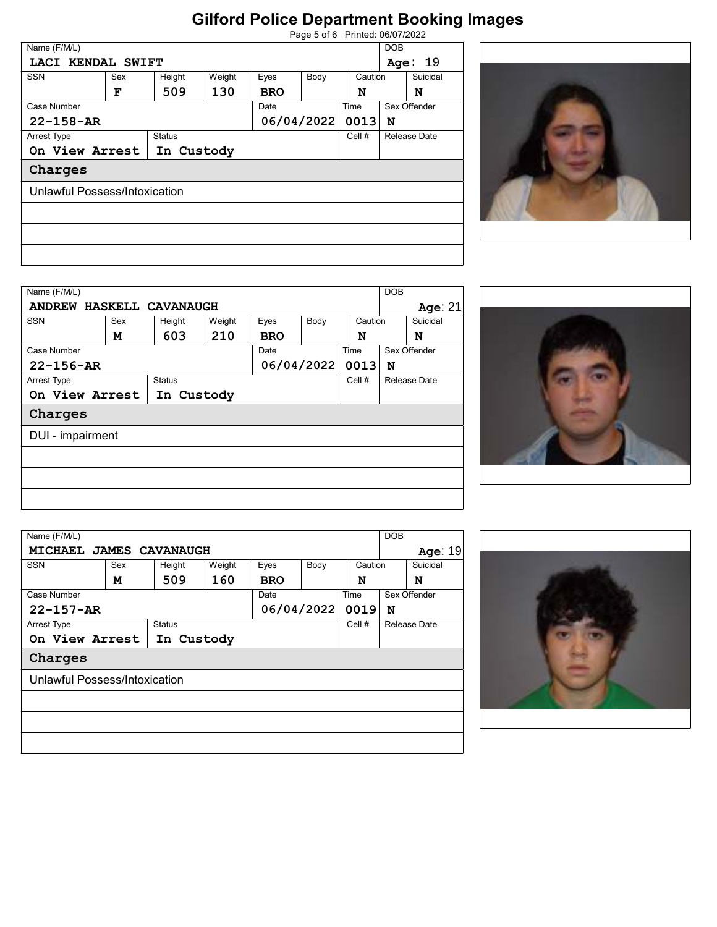|                               | Page 5 of 6 Printed: 06/07/2022 |               |        |            |            |              |                     |  |  |  |
|-------------------------------|---------------------------------|---------------|--------|------------|------------|--------------|---------------------|--|--|--|
| Name (F/M/L)                  | <b>DOB</b>                      |               |        |            |            |              |                     |  |  |  |
| LACI KENDAL SWIFT             |                                 |               |        |            |            |              | -19<br>Age:         |  |  |  |
| <b>SSN</b><br>Sex             |                                 | Height        | Weight | Eyes       | Body       |              | Suicidal<br>Caution |  |  |  |
|                               | F                               | 509           | 130    | <b>BRO</b> |            | N            | N                   |  |  |  |
| Case Number                   |                                 |               | Date   |            |            | Sex Offender |                     |  |  |  |
| $22 - 158 - AR$               |                                 |               |        |            | 06/04/2022 |              | N                   |  |  |  |
| Arrest Type                   |                                 | <b>Status</b> |        |            |            | Cell #       | <b>Release Date</b> |  |  |  |
| On View Arrest                |                                 | In Custody    |        |            |            |              |                     |  |  |  |
| Charges                       |                                 |               |        |            |            |              |                     |  |  |  |
| Unlawful Possess/Intoxication |                                 |               |        |            |            |              |                     |  |  |  |
|                               |                                 |               |        |            |            |              |                     |  |  |  |
|                               |                                 |               |        |            |            |              |                     |  |  |  |
|                               |                                 |               |        |            |            |              |                     |  |  |  |
|                               |                                 |               |        |            |            |              |                     |  |  |  |



| Name (F/M/L)     |                          |            |                  |            |              |      | <b>DOB</b>   |          |
|------------------|--------------------------|------------|------------------|------------|--------------|------|--------------|----------|
|                  | ANDREW HASKELL CAVANAUGH |            |                  |            |              |      |              | Age: 21  |
| <b>SSN</b>       | Sex                      |            | Weight<br>Height |            | Eyes<br>Body |      | Caution      | Suicidal |
|                  | м                        | 603        | 210              | <b>BRO</b> |              | N    |              | N        |
| Case Number      |                          |            |                  | Date       |              | Time | Sex Offender |          |
| $22 - 156 - AR$  |                          |            |                  |            | 06/04/2022   | 0013 | N            |          |
| Arrest Type      |                          |            |                  | Cell #     | Release Date |      |              |          |
|                  | On View Arrest           | In Custody |                  |            |              |      |              |          |
| Charges          |                          |            |                  |            |              |      |              |          |
| DUI - impairment |                          |            |                  |            |              |      |              |          |
|                  |                          |            |                  |            |              |      |              |          |
|                  |                          |            |                  |            |              |      |              |          |
|                  |                          |            |                  |            |              |      |              |          |



|             | Name (F/M/L)    |                               |               |        |            |      |         | <b>DOB</b>   |              |
|-------------|-----------------|-------------------------------|---------------|--------|------------|------|---------|--------------|--------------|
|             |                 | MICHAEL JAMES CAVANAUGH       |               |        |            |      |         |              | Age: 19      |
| <b>SSN</b>  |                 | Sex                           | Height        | Weight | Eyes       | Body | Caution |              | Suicidal     |
|             |                 | м                             | 509           | 160    | <b>BRO</b> |      | N       |              | N            |
|             | Case Number     |                               |               |        | Date       | Time |         |              | Sex Offender |
|             | $22 - 157 - AR$ |                               |               |        | 06/04/2022 | 0019 | N       |              |              |
| Arrest Type |                 |                               | <b>Status</b> |        |            |      | Cell #  | Release Date |              |
|             |                 | On View Arrest                | In Custody    |        |            |      |         |              |              |
|             | Charges         |                               |               |        |            |      |         |              |              |
|             |                 | Unlawful Possess/Intoxication |               |        |            |      |         |              |              |
|             |                 |                               |               |        |            |      |         |              |              |
|             |                 |                               |               |        |            |      |         |              |              |
|             |                 |                               |               |        |            |      |         |              |              |
|             |                 |                               |               |        |            |      |         |              |              |
|             |                 |                               |               |        |            |      |         |              |              |